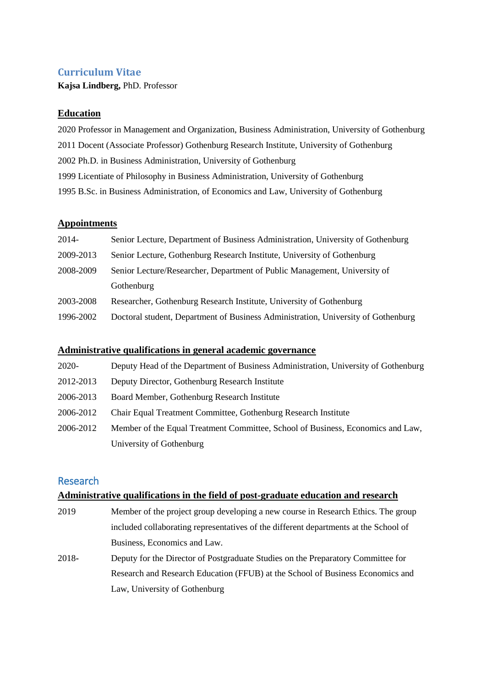# **Curriculum Vitae**

**Kajsa Lindberg,** PhD. Professor

## **Education**

2020 Professor in Management and Organization, Business Administration, University of Gothenburg 2011 Docent (Associate Professor) Gothenburg Research Institute, University of Gothenburg 2002 Ph.D. in Business Administration, University of Gothenburg 1999 Licentiate of Philosophy in Business Administration, University of Gothenburg 1995 B.Sc. in Business Administration, of Economics and Law, University of Gothenburg

#### **Appointments**

| 2014-     | Senior Lecture, Department of Business Administration, University of Gothenburg   |
|-----------|-----------------------------------------------------------------------------------|
| 2009-2013 | Senior Lecture, Gothenburg Research Institute, University of Gothenburg           |
| 2008-2009 | Senior Lecture/Researcher, Department of Public Management, University of         |
|           | Gothenburg                                                                        |
| 2003-2008 | Researcher, Gothenburg Research Institute, University of Gothenburg               |
| 1996-2002 | Doctoral student, Department of Business Administration, University of Gothenburg |

## **Administrative qualifications in general academic governance**

| 2020-     | Deputy Head of the Department of Business Administration, University of Gothenburg |
|-----------|------------------------------------------------------------------------------------|
| 2012-2013 | Deputy Director, Gothenburg Research Institute                                     |
| 2006-2013 | Board Member, Gothenburg Research Institute                                        |
| 2006-2012 | Chair Equal Treatment Committee, Gothenburg Research Institute                     |
| 2006-2012 | Member of the Equal Treatment Committee, School of Business, Economics and Law,    |
|           | University of Gothenburg                                                           |

# Research

## **Administrative qualifications in the field of post-graduate education and research**

- 2019 Member of the project group developing a new course in Research Ethics. The group included collaborating representatives of the different departments at the School of Business, Economics and Law.
- 2018**-** Deputy for the Director of Postgraduate Studies on the Preparatory Committee for Research and Research Education (FFUB) at the School of Business Economics and Law, University of Gothenburg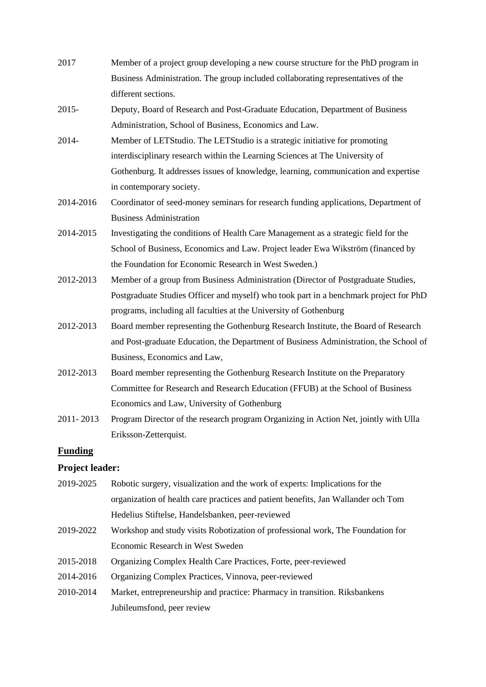| 2017     | Member of a project group developing a new course structure for the PhD program in |
|----------|------------------------------------------------------------------------------------|
|          | Business Administration. The group included collaborating representatives of the   |
|          | different sections.                                                                |
| $2015 -$ | Deputy, Board of Research and Post-Graduate Education, Department of Business      |
|          | Administration, School of Business, Economics and Law.                             |
| 2014-    | Member of LETStudio. The LETStudio is a strategic initiative for promoting         |
|          |                                                                                    |

- interdisciplinary research within the Learning Sciences at The University of Gothenburg. It addresses issues of knowledge, learning, communication and expertise in contemporary society.
- 2014-2016 Coordinator of seed-money seminars for research funding applications, Department of Business Administration
- 2014-2015 Investigating the conditions of Health Care Management as a strategic field for the School of Business, Economics and Law. Project leader Ewa Wikström (financed by the Foundation for Economic Research in West Sweden.)
- 2012-2013 Member of a group from Business Administration (Director of Postgraduate Studies, Postgraduate Studies Officer and myself) who took part in a benchmark project for PhD programs, including all faculties at the University of Gothenburg
- 2012-2013 Board member representing the Gothenburg Research Institute, the Board of Research and Post-graduate Education, the Department of Business Administration, the School of Business, Economics and Law,
- 2012-2013 Board member representing the Gothenburg Research Institute on the Preparatory Committee for Research and Research Education (FFUB) at the School of Business Economics and Law, University of Gothenburg
- 2011- 2013 Program Director of the research program Organizing in Action Net, jointly with Ulla Eriksson-Zetterquist.

## **Funding**

#### **Project leader:**

- 2019-2025 Robotic surgery, visualization and the work of experts: Implications for the organization of health care practices and patient benefits, Jan Wallander och Tom Hedelius Stiftelse, Handelsbanken, peer-reviewed
- 2019-2022 Workshop and study visits Robotization of professional work, The Foundation for Economic Research in West Sweden
- 2015-2018 Organizing Complex Health Care Practices, Forte, peer-reviewed
- 2014-2016 Organizing Complex Practices, Vinnova, peer-reviewed
- 2010-2014 Market, entrepreneurship and practice: Pharmacy in transition. Riksbankens Jubileumsfond, peer review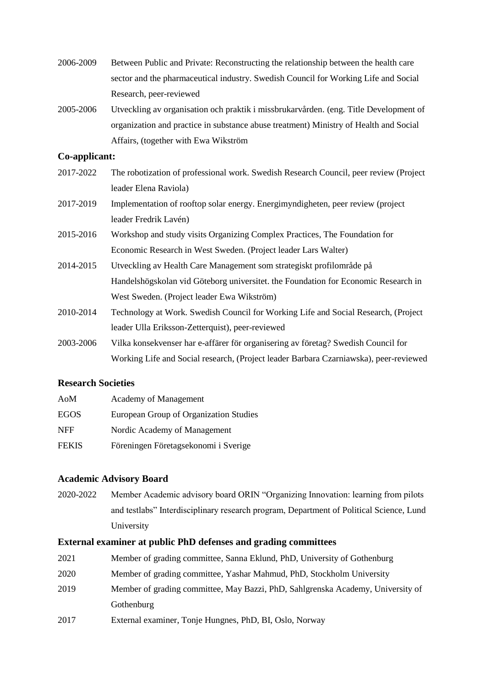- 2006-2009 Between Public and Private: Reconstructing the relationship between the health care sector and the pharmaceutical industry. Swedish Council for Working Life and Social Research, peer-reviewed
- 2005-2006 Utveckling av organisation och praktik i missbrukarvården. (eng. Title Development of organization and practice in substance abuse treatment) Ministry of Health and Social Affairs, (together with Ewa Wikström

#### **Co-applicant:**

- 2017-2022 The robotization of professional work. Swedish Research Council, peer review (Project leader Elena Raviola)
- 2017-2019 Implementation of rooftop solar energy. Energimyndigheten, peer review (project leader Fredrik Lavén)
- 2015-2016 Workshop and study visits Organizing Complex Practices, The Foundation for Economic Research in West Sweden. (Project leader Lars Walter)
- 2014-2015 Utveckling av Health Care Management som strategiskt profilområde på Handelshögskolan vid Göteborg universitet. the Foundation for Economic Research in West Sweden. (Project leader Ewa Wikström)
- 2010-2014 Technology at Work. Swedish Council for Working Life and Social Research, (Project leader Ulla Eriksson-Zetterquist), peer-reviewed
- 2003-2006 Vilka konsekvenser har e-affärer för organisering av företag? Swedish Council for Working Life and Social research, (Project leader Barbara Czarniawska), peer-reviewed

#### **Research Societies**

| AoM          | <b>Academy of Management</b>           |
|--------------|----------------------------------------|
| <b>EGOS</b>  | European Group of Organization Studies |
| <b>NFF</b>   | Nordic Academy of Management           |
| <b>FEKIS</b> | Föreningen Företagsekonomi i Sverige   |

#### **Academic Advisory Board**

2020-2022 Member Academic advisory board ORIN "Organizing Innovation: learning from pilots and testlabs" Interdisciplinary research program, Department of Political Science, Lund University

#### **External examiner at public PhD defenses and grading committees**

- 2021 Member of grading committee, Sanna Eklund, PhD, University of Gothenburg
- 2020 Member of grading committee, Yashar Mahmud, PhD, Stockholm University
- 2019 Member of grading committee, May Bazzi, PhD, Sahlgrenska Academy, University of Gothenburg
- 2017 External examiner, Tonje Hungnes, PhD, BI, Oslo, Norway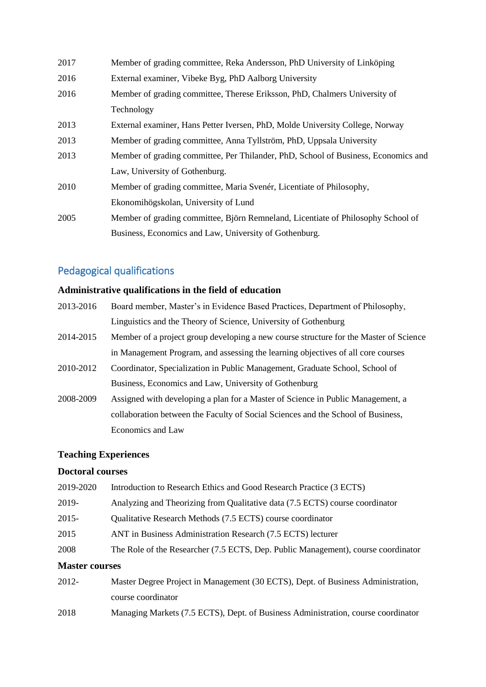| 2017 | Member of grading committee, Reka Andersson, PhD University of Linköping           |
|------|------------------------------------------------------------------------------------|
| 2016 | External examiner, Vibeke Byg, PhD Aalborg University                              |
| 2016 | Member of grading committee, Therese Eriksson, PhD, Chalmers University of         |
|      | Technology                                                                         |
| 2013 | External examiner, Hans Petter Iversen, PhD, Molde University College, Norway      |
| 2013 | Member of grading committee, Anna Tyllström, PhD, Uppsala University               |
| 2013 | Member of grading committee, Per Thilander, PhD, School of Business, Economics and |
|      | Law, University of Gothenburg.                                                     |
| 2010 | Member of grading committee, Maria Svenér, Licentiate of Philosophy,               |
|      | Ekonomihögskolan, University of Lund                                               |
| 2005 | Member of grading committee, Björn Remneland, Licentiate of Philosophy School of   |
|      | Business, Economics and Law, University of Gothenburg.                             |

# Pedagogical qualifications

## **Administrative qualifications in the field of education**

- 2013-2016 Board member, Master's in Evidence Based Practices, Department of Philosophy, Linguistics and the Theory of Science, University of Gothenburg
- 2014-2015 Member of a project group developing a new course structure for the Master of Science in Management Program, and assessing the learning objectives of all core courses
- 2010-2012 Coordinator, Specialization in Public Management, Graduate School, School of Business, Economics and Law, University of Gothenburg
- 2008-2009 Assigned with developing a plan for a Master of Science in Public Management, a collaboration between the Faculty of Social Sciences and the School of Business, Economics and Law

## **Teaching Experiences**

## **Doctoral courses**

| 2019-2020 | Introduction to Research Ethics and Good Research Practice (3 ECTS)               |
|-----------|-----------------------------------------------------------------------------------|
| 2019-     | Analyzing and Theorizing from Qualitative data (7.5 ECTS) course coordinator      |
| 2015-     | Qualitative Research Methods (7.5 ECTS) course coordinator                        |
| 2015      | ANT in Business Administration Research (7.5 ECTS) lecturer                       |
| 2008      | The Role of the Researcher (7.5 ECTS, Dep. Public Management), course coordinator |
|           |                                                                                   |

#### **Master courses**

2012- Master Degree Project in Management (30 ECTS), Dept. of Business Administration, course coordinator 2018 Managing Markets (7.5 ECTS), Dept. of Business Administration, course coordinator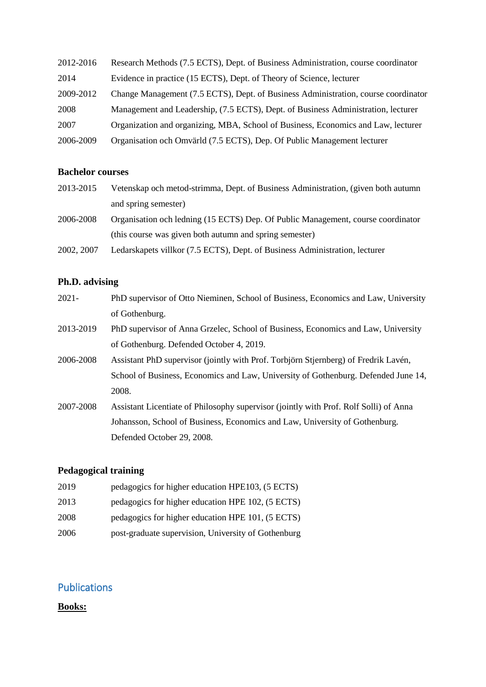| 2012-2016 | Research Methods (7.5 ECTS), Dept. of Business Administration, course coordinator  |
|-----------|------------------------------------------------------------------------------------|
| 2014      | Evidence in practice (15 ECTS), Dept. of Theory of Science, lecturer               |
| 2009-2012 | Change Management (7.5 ECTS), Dept. of Business Administration, course coordinator |
| 2008      | Management and Leadership, (7.5 ECTS), Dept. of Business Administration, lecturer  |
| 2007      | Organization and organizing, MBA, School of Business, Economics and Law, lecturer  |
| 2006-2009 | Organisation och Omvärld (7.5 ECTS), Dep. Of Public Management lecturer            |

## **Bachelor courses**

| 2013-2015  | Vetenskap och metod-strimma, Dept. of Business Administration, (given both autumn |
|------------|-----------------------------------------------------------------------------------|
|            | and spring semester)                                                              |
| 2006-2008  | Organisation och ledning (15 ECTS) Dep. Of Public Management, course coordinator  |
|            | (this course was given both autumn and spring semester)                           |
| 2002, 2007 | Ledarskapets villkor (7.5 ECTS), Dept. of Business Administration, lecturer       |

# **Ph.D. advising**

| $2021 -$  | PhD supervisor of Otto Nieminen, School of Business, Economics and Law, University    |
|-----------|---------------------------------------------------------------------------------------|
|           | of Gothenburg.                                                                        |
| 2013-2019 | PhD supervisor of Anna Grzelec, School of Business, Economics and Law, University     |
|           | of Gothenburg. Defended October 4, 2019.                                              |
| 2006-2008 | Assistant PhD supervisor (jointly with Prof. Torbjörn Stjernberg) of Fredrik Lavén,   |
|           | School of Business, Economics and Law, University of Gothenburg. Defended June 14,    |
|           | 2008.                                                                                 |
| 2007-2008 | Assistant Licentiate of Philosophy supervisor (jointly with Prof. Rolf Solli) of Anna |
|           | Johansson, School of Business, Economics and Law, University of Gothenburg.           |
|           | Defended October 29, 2008.                                                            |

# **Pedagogical training**

| 2019 | pedagogics for higher education HPE103, (5 ECTS)    |
|------|-----------------------------------------------------|
| 2013 | pedagogics for higher education HPE 102, (5 ECTS)   |
| 2008 | pedagogics for higher education HPE 101, (5 ECTS)   |
| 2006 | post-graduate supervision, University of Gothenburg |

# Publications

# **Books:**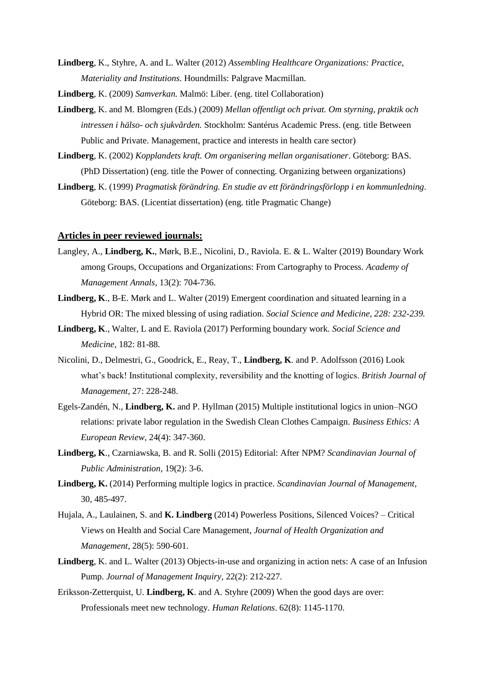- **Lindberg**, K., Styhre, A. and L. Walter (2012) *Assembling Healthcare Organizations: Practice, Materiality and Institutions*. Houndmills: Palgrave Macmillan.
- **Lindberg**, K. (2009) *Samverkan.* Malmö: Liber. (eng. titel Collaboration)
- **Lindberg**, K. and M. Blomgren (Eds.) (2009) *Mellan offentligt och privat. Om styrning, praktik och intressen i hälso- och sjukvården.* Stockholm: Santérus Academic Press. (eng. title Between Public and Private. Management, practice and interests in health care sector)
- **Lindberg**, K. (2002) *Kopplandets kraft. Om organisering mellan organisationer*. Göteborg: BAS. (PhD Dissertation) (eng. title the Power of connecting. Organizing between organizations)
- **Lindberg**, K. (1999) *Pragmatisk förändring. En studie av ett förändringsförlopp i en kommunledning*. Göteborg: BAS. (Licentiat dissertation) (eng. title Pragmatic Change)

#### **Articles in peer reviewed journals:**

- Langley, A., **Lindberg, K.**, Mørk, B.E., Nicolini, D., Raviola. E. & L. Walter (2019) Boundary Work among Groups, Occupations and Organizations: From Cartography to Process. *Academy of Management Annals*, 13(2): 704-736.
- **Lindberg, K**., B-E. Mørk and L. Walter (2019) Emergent coordination and situated learning in a Hybrid OR: The mixed blessing of using radiation. *Social Science and Medicine, 228: 232-239.*
- **Lindberg, K**., Walter, L and E. Raviola (2017) Performing boundary work. *Social Science and Medicine*, 182: 81-88.
- Nicolini, D., Delmestri, G., Goodrick, E., Reay, T., **Lindberg, K**. and P. Adolfsson (2016) Look what's back! Institutional complexity, reversibility and the knotting of logics. *British Journal of Management*, 27: 228-248.
- Egels-Zandén, N., **Lindberg, K.** and P. Hyllman (2015) Multiple institutional logics in union–NGO relations: private labor regulation in the Swedish Clean Clothes Campaign. *Business Ethics: A European Review*, 24(4): 347-360.
- **Lindberg, K**., Czarniawska, B. and R. Solli (2015) Editorial: After NPM? *Scandinavian Journal of Public Administration*, 19(2): 3-6.
- **Lindberg, K.** (2014) Performing multiple logics in practice. *Scandinavian Journal of Management*, 30, 485-497.
- Hujala, A., Laulainen, S. and **K. Lindberg** (2014) Powerless Positions, Silenced Voices? Critical Views on Health and Social Care Management, *Journal of Health Organization and Management*, 28(5): 590-601.
- **Lindberg**, K. and L. Walter (2013) Objects-in-use and organizing in action nets: A case of an Infusion Pump. *Journal of Management Inquiry,* 22(2): 212-227.
- Eriksson-Zetterquist, U. **Lindberg, K**. and A. Styhre (2009) When the good days are over: Professionals meet new technology. *Human Relations*. 62(8): 1145-1170.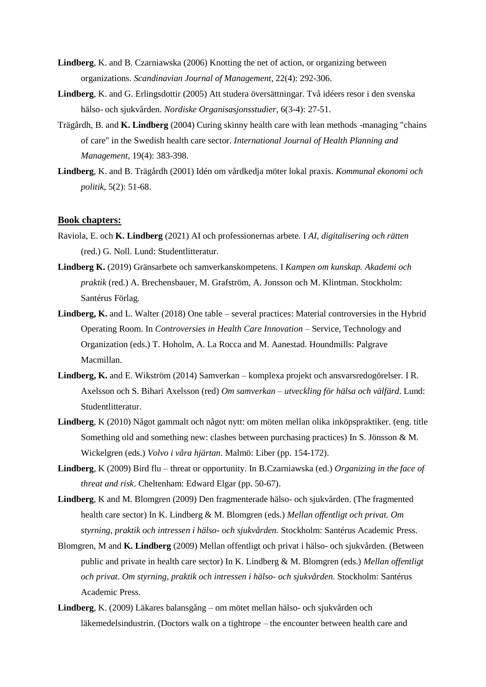- **Lindberg**, K. and B. Czarniawska (2006) Knotting the net of action, or organizing between organizations. *Scandinavian Journal of Management*, 22(4): 292-306.
- **Lindberg**, K. and G. Erlingsdottir (2005) Att studera översättningar. Två idéers resor i den svenska hälso- och sjukvården. *Nordiske Organisasjonsstudier*, 6(3-4): 27-51.
- Trägårdh, B. and **K. Lindberg** (2004) Curing skinny health care with lean methods -managing "chains of care" in the Swedish health care sector. *International Journal of Health Planning and Management,* 19(4): 383-398.
- **Lindberg**, K. and B. Trägårdh (2001) Idén om vårdkedja möter lokal praxis. *Kommunal ekonomi och politik*, 5(2): 51-68.

#### **Book chapters:**

- Raviola, E. och **K. Lindberg** (2021) AI och professionernas arbete. I *AI, digitalisering och rätten* (red.) G. Noll. Lund: Studentlitteratur.
- **Lindberg K.** (2019) Gränsarbete och samverkanskompetens. I *Kampen om kunskap. Akademi och praktik* (red.) A. Brechensbauer, M. Grafström, A. Jonsson och M. Klintman. Stockholm: Santérus Förlag.
- Lindberg, K. and L. Walter (2018) One table several practices: Material controversies in the Hybrid Operating Room. In *Controversies in Health Care Innovation* – Service, Technology and Organization (eds.) T. Hoholm, A. La Rocca and M. Aanestad. Houndmills: Palgrave Macmillan.
- **Lindberg, K.** and E. Wikström (2014) Samverkan komplexa projekt och ansvarsredogörelser. I R. Axelsson och S. Bihari Axelsson (red) *Om samverkan – utveckling för hälsa och välfärd*. Lund: Studentlitteratur.
- **Lindberg**, K (2010) Något gammalt och något nytt: om möten mellan olika inköpspraktiker. (eng. title Something old and something new: clashes between purchasing practices) In S. Jönsson & M. Wickelgren (eds.) *Volvo i våra hjärtan*. Malmö: Liber (pp. 154-172).
- **Lindberg**, K (2009) Bird flu threat or opportunity. In B.Czarniawska (ed.) *Organizing in the face of threat and risk*. Cheltenham: Edward Elgar (pp. 50-67).
- **Lindberg**, K and M. Blomgren (2009) Den fragmenterade hälso- och sjukvården. (The fragmented health care sector) In K. Lindberg & M. Blomgren (eds.) *Mellan offentligt och privat. Om styrning, praktik och intressen i hälso- och sjukvården.* Stockholm: Santérus Academic Press.
- Blomgren, M and **K. Lindberg** (2009) Mellan offentligt och privat i hälso- och sjukvården. (Between public and private in health care sector) In K. Lindberg & M. Blomgren (eds.) *Mellan offentligt och privat. Om styrning, praktik och intressen i hälso- och sjukvården.* Stockholm: Santérus Academic Press.
- **Lindberg**, K. (2009) Läkares balansgång om mötet mellan hälso- och sjukvården och läkemedelsindustrin. (Doctors walk on a tightrope – the encounter between health care and